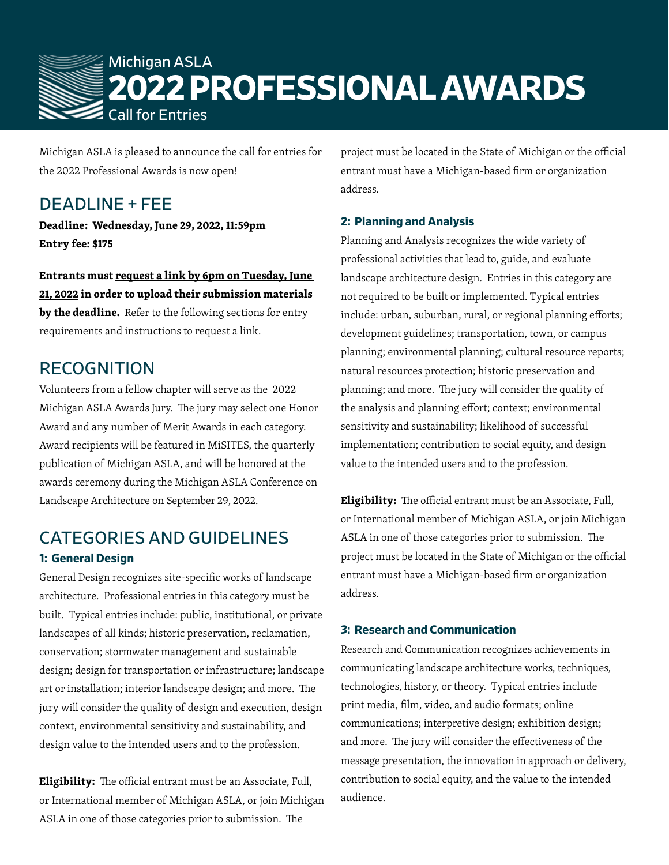

Michigan ASLA is pleased to announce the call for entries for the 2022 Professional Awards is now open!

## DEADLINE + FEE

**Deadline: Wednesday, June 29, 2022, 11:59pm Entry fee: \$175**

**Entrants must request a link by 6pm on Tuesday, June 21, 2022 in order to upload their submission materials by the deadline.** Refer to the following sections for entry requirements and instructions to request a link.

## RECOGNITION

Volunteers from a fellow chapter will serve as the 2022 Michigan ASLA Awards Jury. The jury may select one Honor Award and any number of Merit Awards in each category. Award recipients will be featured in MiSITES, the quarterly publication of Michigan ASLA, and will be honored at the awards ceremony during the Michigan ASLA Conference on Landscape Architecture on September 29, 2022.

## CATEGORIES AND GUIDELINES **1: General Design**

General Design recognizes site-specific works of landscape architecture. Professional entries in this category must be built. Typical entries include: public, institutional, or private landscapes of all kinds; historic preservation, reclamation, conservation; stormwater management and sustainable design; design for transportation or infrastructure; landscape art or installation; interior landscape design; and more. The jury will consider the quality of design and execution, design context, environmental sensitivity and sustainability, and design value to the intended users and to the profession.

**Eligibility:** The official entrant must be an Associate, Full, or International member of Michigan ASLA, or join Michigan ASLA in one of those categories prior to submission. The

project must be located in the State of Michigan or the official entrant must have a Michigan-based firm or organization address.

### **2: Planning and Analysis**

Planning and Analysis recognizes the wide variety of professional activities that lead to, guide, and evaluate landscape architecture design. Entries in this category are not required to be built or implemented. Typical entries include: urban, suburban, rural, or regional planning efforts; development guidelines; transportation, town, or campus planning; environmental planning; cultural resource reports; natural resources protection; historic preservation and planning; and more. The jury will consider the quality of the analysis and planning effort; context; environmental sensitivity and sustainability; likelihood of successful implementation; contribution to social equity, and design value to the intended users and to the profession.

**Eligibility:** The official entrant must be an Associate, Full, or International member of Michigan ASLA, or join Michigan ASLA in one of those categories prior to submission. The project must be located in the State of Michigan or the official entrant must have a Michigan-based firm or organization address.

### **3: Research and Communication**

Research and Communication recognizes achievements in communicating landscape architecture works, techniques, technologies, history, or theory. Typical entries include print media, film, video, and audio formats; online communications; interpretive design; exhibition design; and more. The jury will consider the effectiveness of the message presentation, the innovation in approach or delivery, contribution to social equity, and the value to the intended audience.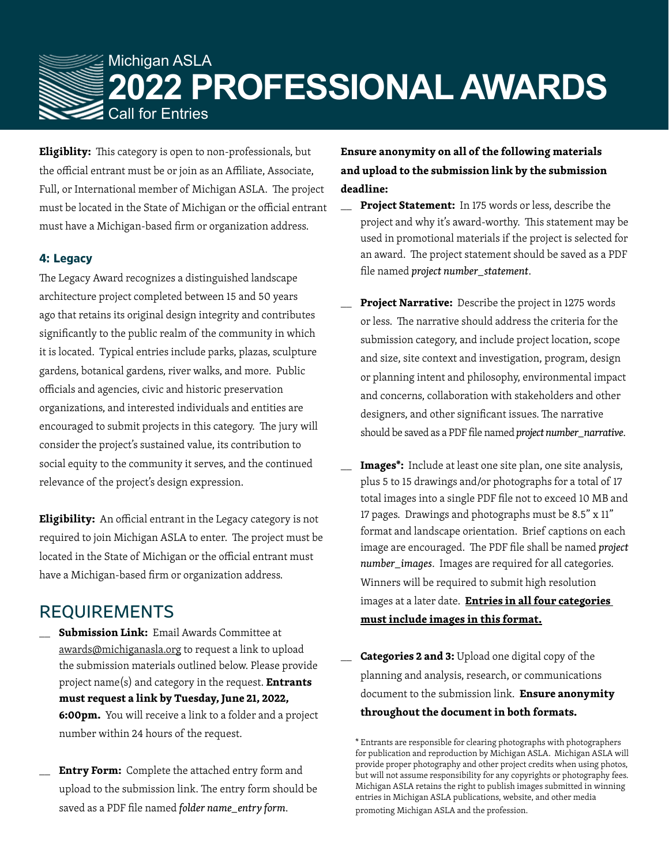

**Eligiblity:** This category is open to non-professionals, but the official entrant must be or join as an Affiliate, Associate, Full, or International member of Michigan ASLA. The project must be located in the State of Michigan or the official entrant must have a Michigan-based firm or organization address.

#### **4: Legacy**

The Legacy Award recognizes a distinguished landscape architecture project completed between 15 and 50 years ago that retains its original design integrity and contributes significantly to the public realm of the community in which it is located. Typical entries include parks, plazas, sculpture gardens, botanical gardens, river walks, and more. Public officials and agencies, civic and historic preservation organizations, and interested individuals and entities are encouraged to submit projects in this category. The jury will consider the project's sustained value, its contribution to social equity to the community it serves, and the continued relevance of the project's design expression.

**Eligibility:** An official entrant in the Legacy category is not required to join Michigan ASLA to enter. The project must be located in the State of Michigan or the official entrant must have a Michigan-based firm or organization address.

## REQUIREMENTS

- \_\_ **Submission Link:** Email Awards Committee at awards@michiganasla.org to request a link to upload the submission materials outlined below. Please provide project name(s) and category in the request. **Entrants must request a link by Tuesday, June 21, 2022, 6:00pm.** You will receive a link to a folder and a project number within 24 hours of the request.
- **Entry Form:** Complete the attached entry form and upload to the submission link. The entry form should be saved as a PDF file named *folder name\_entry form*.

**Ensure anonymity on all of the following materials and upload to the submission link by the submission deadline:**

- Project Statement: In 175 words or less, describe the project and why it's award-worthy. This statement may be used in promotional materials if the project is selected for an award. The project statement should be saved as a PDF file named *project number\_statement*.
- Project Narrative: Describe the project in 1275 words or less. The narrative should address the criteria for the submission category, and include project location, scope and size, site context and investigation, program, design or planning intent and philosophy, environmental impact and concerns, collaboration with stakeholders and other designers, and other significant issues. The narrative should be saved as a PDF file named *project number\_narrative*.
- Images\*: Include at least one site plan, one site analysis, plus 5 to 15 drawings and/or photographs for a total of 17 total images into a single PDF file not to exceed 10 MB and 17 pages. Drawings and photographs must be 8.5" x 11" format and landscape orientation. Brief captions on each image are encouraged. The PDF file shall be named *project number\_images*. Images are required for all categories. Winners will be required to submit high resolution images at a later date. **Entries in all four categories must include images in this format.**
- Categories 2 and 3: Upload one digital copy of the planning and analysis, research, or communications document to the submission link. **Ensure anonymity throughout the document in both formats.**

<sup>\*</sup> Entrants are responsible for clearing photographs with photographers for publication and reproduction by Michigan ASLA. Michigan ASLA will provide proper photography and other project credits when using photos, but will not assume responsibility for any copyrights or photography fees. Michigan ASLA retains the right to publish images submitted in winning entries in Michigan ASLA publications, website, and other media promoting Michigan ASLA and the profession.